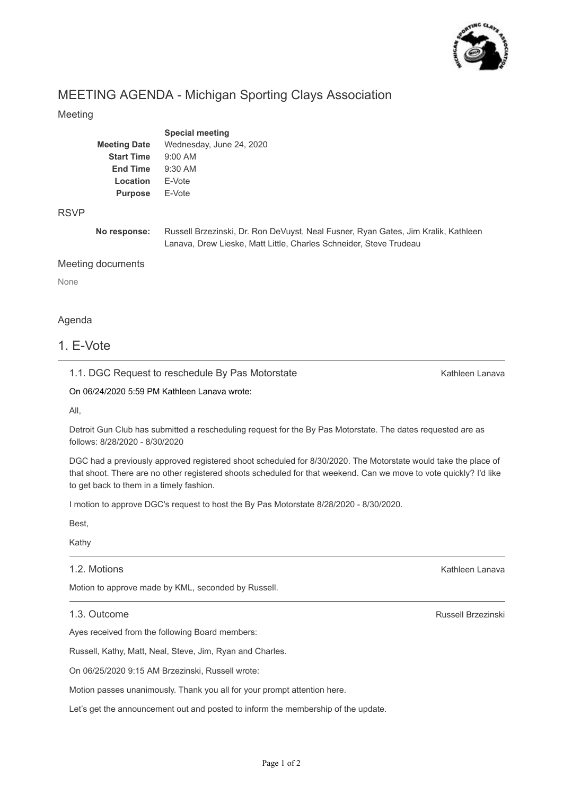

## MEETING AGENDA - Michigan Sporting Clays Association

#### Meeting

|                     | <b>Special meeting</b>   |
|---------------------|--------------------------|
| <b>Meeting Date</b> | Wednesday, June 24, 2020 |
| <b>Start Time</b>   | $9:00$ AM                |
| <b>End Time</b>     | $9:30$ AM                |
| Location            | F-Vote                   |
| <b>Purpose</b>      | F-Vote                   |
|                     |                          |

#### RSVP

**No response:** Russell Brzezinski, Dr. Ron DeVuyst, Neal Fusner, Ryan Gates, Jim Kralik, Kathleen Lanava, Drew Lieske, Matt Little, Charles Schneider, Steve Trudeau

#### Meeting documents

None

#### Agenda

### 1. E-Vote

1.1. DGC Request to reschedule By Pas Motorstate

Kathleen Lanava

On 06/24/2020 5:59 PM Kathleen Lanava wrote:

All,

Detroit Gun Club has submitted a rescheduling request for the By Pas Motorstate. The dates requested are as follows: 8/28/2020 - 8/30/2020

DGC had a previously approved registered shoot scheduled for 8/30/2020. The Motorstate would take the place of that shoot. There are no other registered shoots scheduled for that weekend. Can we move to vote quickly? I'd like to get back to them in a timely fashion.

I motion to approve DGC's request to host the By Pas Motorstate 8/28/2020 - 8/30/2020.

Best,

Kathy

#### 1.2. Motions

Motion to approve made by KML, seconded by Russell.

1.3. Outcome

Ayes received from the following Board members:

Russell, Kathy, Matt, Neal, Steve, Jim, Ryan and Charles.

On 06/25/2020 9:15 AM Brzezinski, Russell wrote:

Motion passes unanimously. Thank you all for your prompt attention here.

Let's get the announcement out and posted to inform the membership of the update.

Russell Brzezinski

Kathleen Lanava